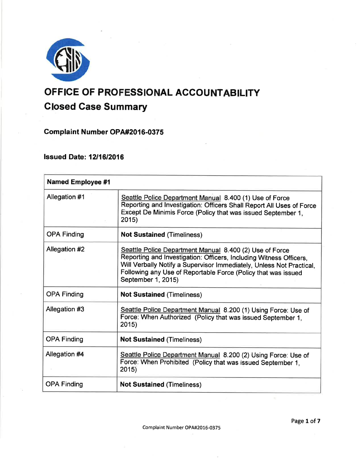

# OFFICE OF PROFESSIONAL ACCOUNTABILITY Closed Gase Summary

**Complaint Number OPA#2016-0375** 

Issued Date: 1211612016

| <b>Named Employee #1</b> |                                                                                                                                                                                                                                                                                              |
|--------------------------|----------------------------------------------------------------------------------------------------------------------------------------------------------------------------------------------------------------------------------------------------------------------------------------------|
| Allegation #1            | Seattle Police Department Manual 8.400 (1) Use of Force<br>Reporting and Investigation: Officers Shall Report All Uses of Force<br>Except De Minimis Force (Policy that was issued September 1,<br>2015)                                                                                     |
| <b>OPA Finding</b>       | <b>Not Sustained (Timeliness)</b>                                                                                                                                                                                                                                                            |
| Allegation #2            | Seattle Police Department Manual 8.400 (2) Use of Force<br>Reporting and Investigation: Officers, Including Witness Officers,<br>Will Verbally Notify a Supervisor Immediately, Unless Not Practical,<br>Following any Use of Reportable Force (Policy that was issued<br>September 1, 2015) |
| <b>OPA Finding</b>       | <b>Not Sustained (Timeliness)</b>                                                                                                                                                                                                                                                            |
| Allegation #3            | Seattle Police Department Manual 8.200 (1) Using Force: Use of<br>Force: When Authorized (Policy that was issued September 1,<br>2015)                                                                                                                                                       |
| <b>OPA Finding</b>       | <b>Not Sustained (Timeliness)</b>                                                                                                                                                                                                                                                            |
| Allegation #4            | Seattle Police Department Manual 8.200 (2) Using Force: Use of<br>Force: When Prohibited (Policy that was issued September 1,<br>2015)                                                                                                                                                       |
| <b>OPA Finding</b>       | <b>Not Sustained (Timeliness)</b>                                                                                                                                                                                                                                                            |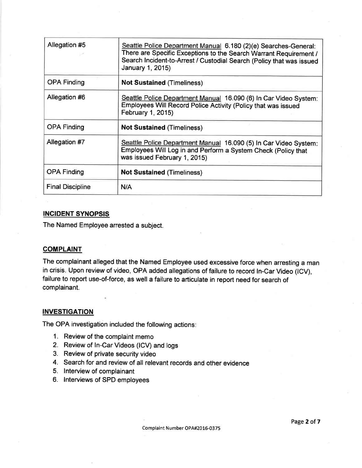| Allegation #5           | Seattle Police Department Manual 6.180 (2)(e) Searches-General:<br>There are Specific Exceptions to the Search Warrant Requirement /<br>Search Incident-to-Arrest / Custodial Search (Policy that was issued<br>January 1, 2015) |
|-------------------------|----------------------------------------------------------------------------------------------------------------------------------------------------------------------------------------------------------------------------------|
| <b>OPA Finding</b>      | <b>Not Sustained (Timeliness)</b>                                                                                                                                                                                                |
| Allegation #6           | Seattle Police Department Manual 16.090 (6) In Car Video System:<br>Employees Will Record Police Activity (Policy that was issued<br>February 1, 2015)                                                                           |
| <b>OPA Finding</b>      | <b>Not Sustained (Timeliness)</b>                                                                                                                                                                                                |
| Allegation #7           | Seattle Police Department Manual 16.090 (5) In Car Video System:<br>Employees Will Log in and Perform a System Check (Policy that<br>was issued February 1, 2015)                                                                |
| <b>OPA Finding</b>      | <b>Not Sustained (Timeliness)</b>                                                                                                                                                                                                |
| <b>Final Discipline</b> | N/A                                                                                                                                                                                                                              |

## INCIDENT SYNOPSIS

The Named Employee arrested a subject.

## **COMPLAINT**

The complainant alleged that the Named Employee used excessive force when arresting a man in crisis. Upon review of video, OPA added allegations of failure to record ln-Car Video (lCV), failure to report use-of-force, as well a failure to articulate in report need for search of complainant.

## **INVESTIGATION**

The OPA investigatión included the following actions

- 1. Review of the complaint memo
- 2. Review of ln-Car Videos (lCV) and logs
- 3. Review of private security video
- 4. Search for and review of all relevant records and other evidence
- 5. lnterview of complainant
- 6. lnterviews of SPD employees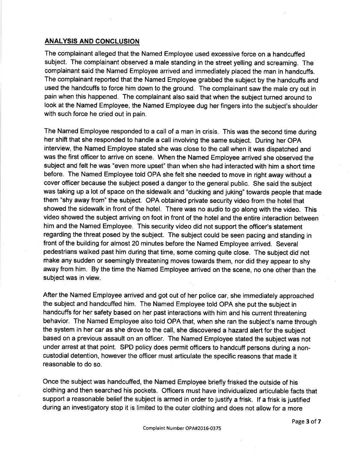## ANALYSIS AND CONCLUSION

The complainant alleged that the Named Employee used excessive force on a handcuffed subject. The complainant observed a male standing in the street yelling and screaming. The complainant said the Named Employee arrived and immediately placed the man in handcuffs. The complainant reported that the Named Employee grabbed the subject by the handcuffs and used the handcuffs to force him down to the ground. The complainant saw the male cry out in pain when this happened. The complainant also said that when the subject turned around to look at the Named Employee, the Named Employee dug her fingers into the subject's shoulder with such force he cried out in pain.

The Named Employee responded to a call of a man in crisis. This was the second time during her shift that she responded to handle a call involving the same subject. During her OPA interview, the Named Employee stated she was close to the callwhen it was dispatched and was the first officer to arrive on scene. When the Named Employee arrived she observed the subject and felt he was "even more upset" than when she had interacted with him a short time before. The Named Employee told OPA she felt she needed to move in right away without a cover officer because the subject posed a danger to the general public. She said the subject was taking up a lot of space on the sidewalk and "ducking and juking" towards people that made them "shy away from" the subject. OPA obtained private security video from the hotel that showed the sidewalk in front of the hotel. There was no audio to go along with the video. This video showed the subject arriving on foot in front of the hotel and the entire interaction between him and the Named Employee. This securíty video did not support the officer's statement regarding the threat posed by the subject. The subject could be seen pacing and standing in front of the building for almost 20 minutes before the Named Employee arrived. Several pedestrians walked past him during that time, some coming quite close. The subject did not make any sudden or seemingly threatening moves towards them, nor did they appear to shy away from him. By the time the Named Employee arrived on the scene, no one other than the subject was in view.

After the Named Employee arrived and got out of her police car, she immediately approached the subject and handcuffed him. The Named Employee told OPA she put the subject in handcuffs for her safety based on her past interactions with him and his current threatening behavior. The Named Employee also told OPA that, when she ran the subject's name through the system in her car as she drove to the call, she discovered a hazard alert for the subject based on a previous assault on an officer. The Named Employee stated the subject was not under arrest at that point. SPD policy does permit officers to handcuff persons during a noncustodial detention, however the officer must articulate the specific reasons that made it reasonable to do so.

Once the subject was handcuffed, the Named Employee briefly frisked the outside of his clothing and then searched his pockets. Officers must have individualized articulable facts that support a reasonable belief the subject is armed in order to justify a frisk. lf a frisk is justified during an investigatory stop it is limited to the outer clothing and does not allow for a more

Page 3 of 7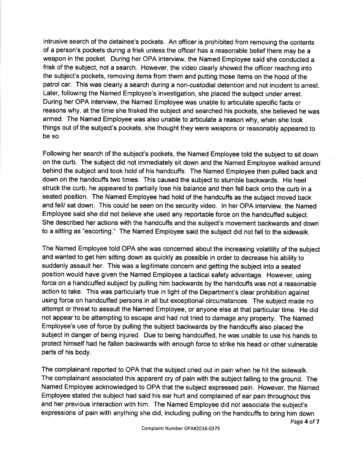intrusive search of the detainee's pockets. An officer is prohibited from removing the contents of a person's pockets during a frisk unless the officer has a reasonable belief there may be <sup>a</sup> weapon in the pocket. During her OPA interview, the Named Employee said she oonducted <sup>a</sup> frisk of the subject, not a search. However, the video clearly showed the officer reaching into the subject's pockets, removing items from them and putting those items on the hood of the patrol car. This was clearly a search during a non-custodial detention and not incident to arrest. Later, following the Named Employee's investigation, she placed the subject under arrest. During her OPA interview, the Named Employee was unable to articulate specific facts or reasons why, at the time she frisked the subject and searched his pockets, she believed he was armed. The Named Employee was also unable to articulate a reason why, when she took things out of the subject's pockets, she thought they were weapons or reasonably appeared to be so.

Following her search of the subject's pockets, the Named Employee told the subject to sit down on the curb. The subject did not immediately sit down and the Named Employee walked around behind the subject and took hold of his handcuffs. The Named Employee then pulled back and down on the handcuffs two times. This caused the subject to stumble backwards. His heel struck the curb, he appeared to partially lose his balance and then fell back onto the curb in a seated position. The Named Employee had hold of the handcuffs as the subject moved back and fell/ sat down. This could be seen on the security video. ln her OPA interview, the Named Employee said she did not believe she used any reportable force on the handcuffed subject. She described her actions with the handcuffs and the subject's movement backwards and down to a sitting as "escorting." The Named Employee said the subject did not fall to the sidewalk.

The Named Employee told OPA she was concerned about the increasing volatility of the subject and wanted to get him sitting down as quickly as possible in order to decrease his ability to suddenly assault her. This was a legitimate concern and getting the subject into a seated position would have given the Named Employee a tactical safety advantage. However, using force on a handcuffed subject by pulling him backwards by the handcuffs was not a reasonable action to take. This was particularly true in light of the Department's clear prohibition against using force on handcuffed persons in all but exceptional circumstances. The subject made no attempt or threat to assault the Named Employee, or anyone else at that particular time. He did not appear to be attempting to escape and had not tried to damage any property. The Named Employee's use of force by pulling the subject backwards by the handcuffs also placed the subject in danger of being injured. Due to being handcuffed, he was unable to use his hands to protect himself had he fallen backwards with enough force to strike his head or other vulnerable parts of his body.

The complainant reported to OPA that the subject cried out in pain when he hit the sidewalk. The complainant associated this apparent cry of pain with the subject falling to the ground. The Named Employee acknowledged to OPA that the subject expressed pain. However, the Named Employee stated the subject had said his ear hurt and complained of ear pain throughout this and her previous interaction with him. The Named Employee did not associate the subject's expressions of pain with anything she did, including pulling. on the handcuffs to bring him down

Page 4 of 7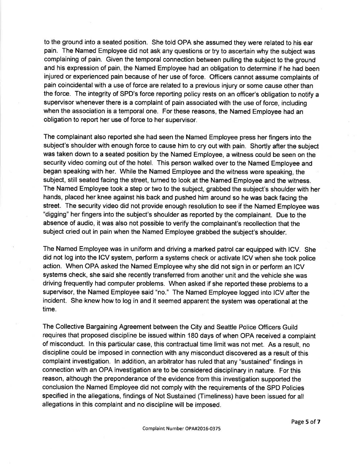to the ground into a seated position. She told OPA she assumed they were related to his ear pain. The Named Employee did not ask any questions or try to ascertain why the subject was complaining of pain. Given the temporal connection between pulling the subject to the ground and his expression of pain, the Named Employee had an obligation to determine if he had been injured or experienced pain because of her use of force. Officers cannot assume complaints of pain coincidental with a use of force are related to a previous injury or some cause other than the force. The integrity of SPD's force reporting policy rests on an officer's obligation to notify a supervisor whenever there is a complaint of pain associated with the use of force, including when the association is a temporal one. For these reasons, the Named Employee had an obligation to report her use of force to her supervisor.

The complainant also reported she had seen the Named Employee press her fingers into the subject's shoulder with enough force to cause him to cry out with pain. Shortly after the subject was taken down to a seated position by the Named Employee, a witness could be seen on the security video coming out of the hotel. This person walked over to the Named Employee and began speaking with her. While the Named Employee and the witness were speaking, the subject, still seated facing the street, turned to look at the Named Employee and the witness. The Named Employee took a step or two to the subject, grabbed the subject's shoulder with her hands, placed her knee against his back and pushed him around so he was back facing the street. The security video did not provide enough resolution to see if the Named Employee was "digging" her fingers into the subject's shoulder as reported by the complainant. Due to the absence of audio, it was also not possible to verify the complainant's recollection that the subject cried out in pain when the Named Employee grabbed the subject's shoulder.

The Named Employee was in uniform and driving a marked patrol car equipped with lCV. She did not log into the ICV system, perform a systems check or activate ICV when she took police action. When OPA asked the Named Employee why she did not sign in or perform an ICV systems check, she said she recently transferred from another unit and the vehicle she was driving frequently had computer problems. When asked if she reported these problems to a supervisor, the Named Employee said "no." The Named Employee logged into ICV after the incident. She knew how to log in and it seemed apparent the system was operational at the time.

The Collective Bargaining Agreement between the City and Seattle Police Officers Guild requires that proposed discipline be issued within 180 days of when OPA received a complaint of misconduct. ln this particular case, this contractual time limit was not met. As a result, no discipline could be imposed in connection with any misconduct discovered as a result of this complaint investigation. ln addition, an arbitrator has ruled that any "sustained" findings in connection with an OPA investigation are to be considered disciplinary in nature. For this reason, although the preponderance of the evidence from this investigation supported the conclusion the Named Employee did not comply with the requirements of the SPD Policies specified in the allegations, findings of Not Sustained (Timeliness) have been issued for all allegations in this complaint and no discipline will be imposed.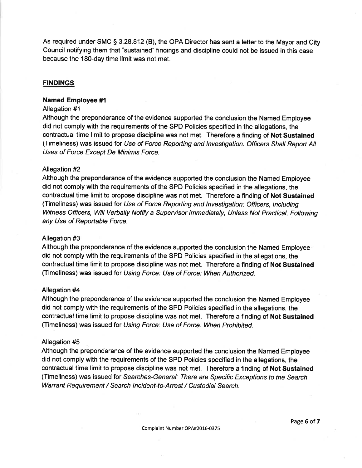As required under SMC  $\S 3.28.812$  (B), the OPA Director has sent a letter to the Mayor and City Council notifying them that "sustained" findings and discipline could not be issued in this case because the 180-day time limit was not met.

## **FINDINGS**

### Named Employee #1

#### Allegation #1

Although the preponderance of the evidence supported the conclusion the Named Employee did not comply with the requirements of the SPD Policies specified in the allegations, the contractual time limit to propose discipline was not met. Therefore a finding of Not Sustained (Timeliness) was issued for Use of Force Reporting and Investigation: Officers Shall Report All Uses of Force Except De Minimis Force.

### Allegation #2

Although the preponderance of the evidence supported the conclusion the Named Employee did not comply with the requirements of the SPD Policies specified in the allegations, the contractual time limit to propose discipline was not met. Therefore a finding of Not Sustained (Timeliness) was issued for Use of Force Reporting and Investigation: Officers, Including Witness Officers, Will Verbally Notify a Supervisor Immediately, Unless Not Practical, Following any Use of Reportable Force.

#### Allegation #3

Although the preponderance of the evidence supported the conclusion the Named Employee did not comply with the requirements of the SPD Policies specified in the allegations, the contractual time limit to propose discipline was not met. Therefore a finding of Not Sustained (Timeliness) was issued for Using Force: Use of Force: When Authorized.

#### Allegation #4

Although the preponderance of the evidence supported the conclusion the Named Employee did not comply with the requirements of the SPD Policies specified in the allegations, the contractual time limit to propose discipline was not met. Therefore a finding of Not Sustained (Timeliness) was issued for Using Force: Use of Force: When Prohibited.

## Allegation #5

Although the preponderance of the evidence supported the conclusion the Named Employee did not comply with the requirements of the SPD Policies specified in the allegations, the contractual time limit to propose discipline was not met. Therefore a finding of Not Sustained (Timeliness) was issued for Searches-General: There are Specific Exceptions to the Search Warrant Requirement / Search lncident-to-Arrest / Custodial Search.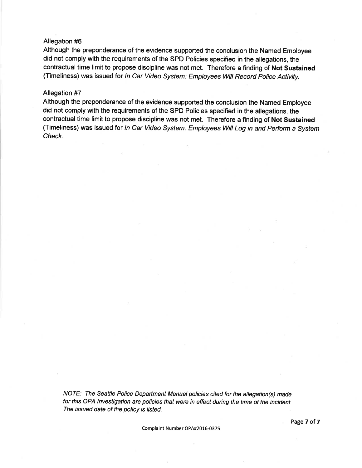#### Allegation #6

Although the preponderance of the evidence supported the conclusion the Named Employee did not comply with the requirements of the SPD Policies specified in the allegations, the contractual time limit to propose discipline was not met. Therefore a finding of Not Sustained (Timeliness) was issued for In Car Video System: Employees Will Record Police Activity.

#### Allegation #7

Although the preponderance of the evidence supported the conclusion the Named Employee did not comply with the requirements of the SPD Policies specified in the allegations, the contractual time limit to propose discipline was not met. Therefore a finding of Not Sustained (Timeliness) was issued for In Car Video System: Employees Will Log in and Perform a System Check.

NOTE: The Seattle Police Department Manual policies cited for the allegation(s) made for this OPA lnvestigation are policies that were in effect during the time of the incident. The issued date of the policy is listed.

Complaint Number OPA#2016-0375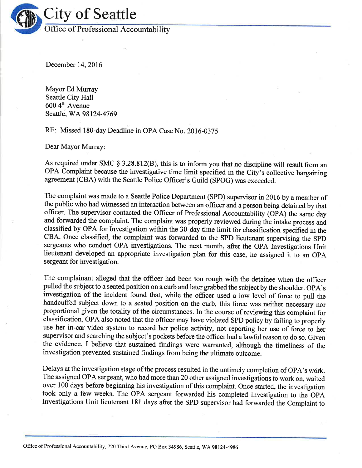

December 14,2016

Mayor Ed Murray Seattle City Hall 600 4th Avenue Seattle, WA 98124-4769

RE: Missed 180-day Deadline in OPA Case No. 2016-0375

Dear Mayor Murray:

As required under SMC  $\S 3.28.812(B)$ , this is to inform you that no discipline will result from an OPA Complaint because the investigative time limit specified in the City's collective bargaining agreement (CBA) with the Seattle Police Officer's Guild (SPOG) was exceeded.

The complaint was made to a Seattle Police Department (SPD) supervisor in 2016 by a member of the public who had witnessed an interaction between an officer and a person being detained by that officer. The supervisor contacted the Officer of Professional Accountability (OPA) the same day and forwarded the complaint. The complaint was properly reviewed during the intake process and classified by OPA for Investigation within the 30-day time limit for classification specified in the CBA. Once classified, the complaint was forwarded to the SPD lieutenant supervising the SpD sergeants who conduct OPA investigations. The next month, after the OPA Investigations Unit lieutenant developed an appropriate investigation plan for this case, he assigned it to an OPA sergeant for investigation.

The complainant alleged that the officer had been too rough with the detainee when the officer pulled the subject to a seated position on a curb and later grabbed the subject by the shoulder. OPA's investigation of the incident found that, while the officer used a low level of force to pull the handcuffed subject down to a seated position on the curb, this force was neither necessary nor proportional given the totality of the circumstances. In the course of reviewing this complaint for classification, OPA also noted that the officer may have violated SPD policy by failing to properly use her in-car video system to record her police activity, not reporting her use of force to her supervisor and searching the subject's pockets before the ofñcer had a lawful reason to do so. Given the evidence, I believe that sustained findings were warranted, although the timeliness of the investigation prevented sustained findings from being the ultimate outcome.

Delays at the investigation stage of the process resulted in the untimely completion of OpA's work. The assigned OPA sergeant, who had more than 20 other assigned investigations to work on, waited over 100 days before beginning his investigation of this complaint. Once started, the investigation took only a few weeks. The OPA sergeant forwarded his completed investigation to the OPA Investigations Unit lieutenant 181 days after the SPD supervisor had forwarded the Complaint to